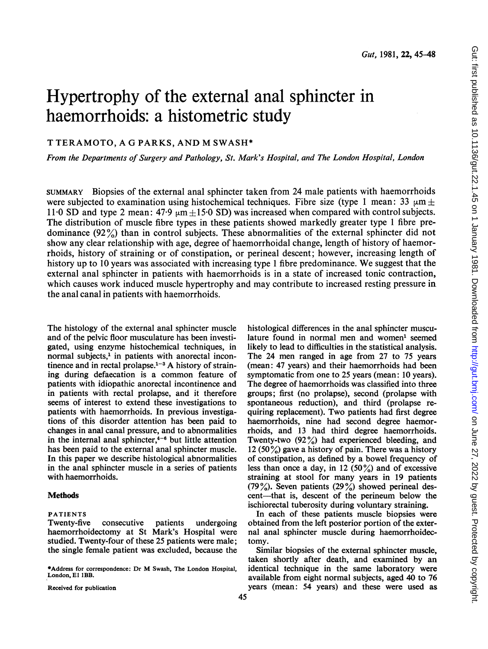# Hypertrophy of the external anal sphincter in haemorrhoids: a histometric study

# T TERAMOTO, A G PARKS, AND M SWASH\*

From the Departments of Surgery and Pathology, St. Mark's Hospital, and The London Hospital, London

SUMMARY Biopsies of the external anal sphincter taken from 24 male patients with haemorrhoids were subjected to examination using histochemical techniques. Fibre size (type 1 mean: 33  $\mu$ m  $\pm$ 11.0 SD and type 2 mean:  $47.9 \text{ µm} + 15.0 \text{ SD}$  was increased when compared with control subjects. The distribution of muscle fibre types in these patients showed markedly greater type <sup>1</sup> fibre predominance  $(92\%)$  than in control subjects. These abnormalities of the external sphincter did not show any clear relationship with age, degree of haemorrhoidal change, length of history of haemorrhoids, history of straining or of constipation, or perineal descent; however, increasing length of history up to <sup>10</sup> years was associated with increasing type <sup>1</sup> fibre predominance. We suggest that the external anal sphincter in patients with haemorrhoids is in a state of increased tonic contraction, which causes work induced muscle hypertrophy and may contribute to increased resting pressure in the anal canal in patients with haemorrhoids.

The histology of the external anal sphincter muscle and of the pelvic floor musculature has been investigated, using enzyme histochemical techniques, in normal subjects,<sup>1</sup> in patients with anorectal incontinence and in rectal prolapse. $1-3$  A history of straining during defaecation is a common feature of patients with idiopathic anorectal incontinence and in patients with rectal prolapse, and it therefore seems of interest to extend these investigations to patients with haemorrhoids. In previous investigations of this disorder attention has been paid to changes in anal canal pressure, and to abnormalities in the internal anal sphincter, $4-6$  but little attention has been paid to the external anal sphincter muscle. In this paper we describe histological abnormalities in the anal sphincter muscle in a series of patients with haemorrhoids.

#### Methods

# PATIENTS

Twenty-five consecutive patients undergoing haemorrhoidectomy at St Mark's Hospital were studied. Twenty-four of these 25 patients were male; the single female patient was excluded, because the

\*Address for correspondence: Dr M Swash, The London Hospital, London, E1 1BB.

Received for publication

histological differences in the anal sphincter musculature found in normal men and women' seemed likely to lead to difficulties in the statistical analysis. The 24 men ranged in age from 27 to 75 years (mean: 47 years) and their haemorrhoids had been symptomatic from one to 25 years (mean: 10 years). The degree of haemorrhoids was classified into three groups; first (no prolapse), second (prolapse with spontaneous reduction), and third (prolapse requiring replacement). Two patients had first degree haemorrhoids, nine had second degree haemorrhoids, and 13 had third degree haemorrhoids. Twenty-two (92%) had experienced bleeding, and 12 (50%) gave a history of pain. There was a history of constipation, as defined by a bowel frequency of less than once a day, in 12 (50%) and of excessive straining at stool for many years in 19 patients (79%). Seven patients  $(29\%)$  showed perineal descent—that is, descent of the perineum below the ischiorectal tuberosity during voluntary straining.

In each of these patients muscle biopsies were obtained from the left posterior portion of the external anal sphincter muscle during haemorrhoidectomy.

Similar biopsies of the external sphincter muscle, taken shortly after death, and examined by an identical technique in the same laboratory were available from eight normal subjects, aged 40 to 76 years (mean: 54 years) and these were used as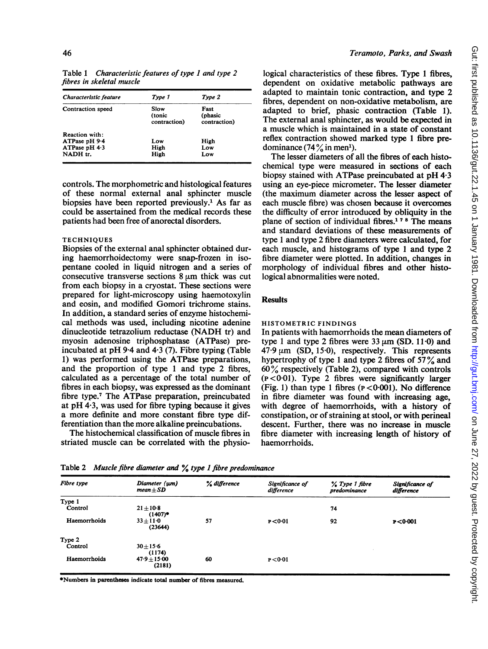Table <sup>1</sup> Characteristic features of type <sup>1</sup> and type 2 fibres in skeletal muscle

| Characteristic feature | Type 1                         | Type 2                          |
|------------------------|--------------------------------|---------------------------------|
| Contraction speed      | Slow<br>(tonic<br>contraction) | Fast<br>(phasic<br>contraction) |
| <b>Reaction with:</b>  |                                |                                 |
| ATPase pH 9.4          | Low                            | High                            |
| ATPase pH $4.3$        | High                           | Low                             |
| NADH tr.               | High                           | Low                             |
|                        |                                |                                 |

controls. The morphometric and histological features of these normal external anal sphincter muscle biopsies have been reported previously.' As far as could be assertained from the medical records these patients had been free of anorectal disorders.

### **TECHNIQUES**

Biopsies of the external anal sphincter obtained during haemorrhoidectomy were snap-frozen in isopentane cooled in liquid nitrogen and a series of consecutive transverse sections  $8 \mu m$  thick was cut from each biopsy in a cryostat. These sections were prepared for light-microscopy using haemotoxylin and eosin, and modified Gomori trichrome stains. In addition, a standard series of enzyme histochemical methods was used, including nicotine adenine dinucleotide tetrazolium reductase (NADH tr) and myosin adenosine triphosphatase (ATPase) preincubated at pH 9.4 and 4.3 (7). Fibre typing (Table 1) was performed using the ATPase preparations, and the proportion of type <sup>1</sup> and type 2 fibres, calculated as a percentage of the total number of fibres in each biopsy, was expressed as the dominant fibre type.7 The ATPase preparation, preincubated at  $pH$  4.3, was used for fibre typing because it gives a more definite and more constant fibre type differentiation than the more alkaline preincubations.

The histochemical classification of muscle fibres in striated muscle can be correlated with the physiological characteristics of these fibres. Type <sup>1</sup> fibres, dependent on oxidative metabolic pathways are adapted to maintain tonic contraction, and type 2 fibres, dependent on non-oxidative metabolism, are adapted to brief, phasic contraction (Table 1). The external anal sphincter, as would be expected in a muscle which is maintained in a state of constant reflex contraction showed marked type <sup>1</sup> fibre predominance  $(74\frac{9}{9})$  in men<sup>1</sup>).

The lesser diameters of all the fibres of each histochemical type were measured in sections of each biopsy stained with ATPase preincubated at pH 4-3 using an eye-piece micrometer. The lesser diameter (the maximum diameter across the lesser aspect of each muscle fibre) was chosen because it overcomes the difficulty of error introduced by obliquity in the plane of section of individual fibres.<sup>178</sup> The means and standard deviations of these measurements of type <sup>1</sup> and type 2 fibre diameters were calculated, for each muscle, and histograms of type <sup>1</sup> and type 2 fibre diameter were plotted. In addition, changes in morphology of individual fibres and other histological abnormalities were noted.

# **Results**

#### HISTOMETRIC FINDINGS

In patients with haemorrhoids the mean diameters of type 1 and type 2 fibres were  $33 \mu m$  (SD. 11.0) and  $47.9 \,\mu \text{m}$  (SD, 15.0), respectively. This represents hypertrophy of type 1 and type 2 fibres of  $57\%$  and  $60\%$  respectively (Table 2), compared with controls  $(p < 0.01)$ . Type 2 fibres were significantly larger (Fig. 1) than type 1 fibres ( $p < 0.001$ ). No difference in fibre diameter was found with increasing age, with degree of haemorrhoids, with a history of constipation, or of straining at stool, or with perineal descent. Further, there was no increase in muscle fibre diameter with increasing length of history of haemorrhoids.

Fibre type Diameter (gn) % difference Significance of % Type <sup>1</sup> fibre Significance of mean $\pm$ SD difference predominance difference Type <sup>1</sup>  $\text{Control}$  21 $\pm$ 10-8 74  $-$  (1407)\*<br>33+11.0 Haemorrhoids 33±11-0 57 P<0-01 92 P<0-001 (23644) Type 2<br>Control  $30 + 15.6$ (1174)<br>1500–47 Haemorrhoids  $47.9 \pm 15.00$  60  $P < 0.01$ (2181)

Table <sup>2</sup> Muscle fibre diameter and % type <sup>1</sup> fibre predominance

\*Numbers in parentheses indicate total number of fibres measured.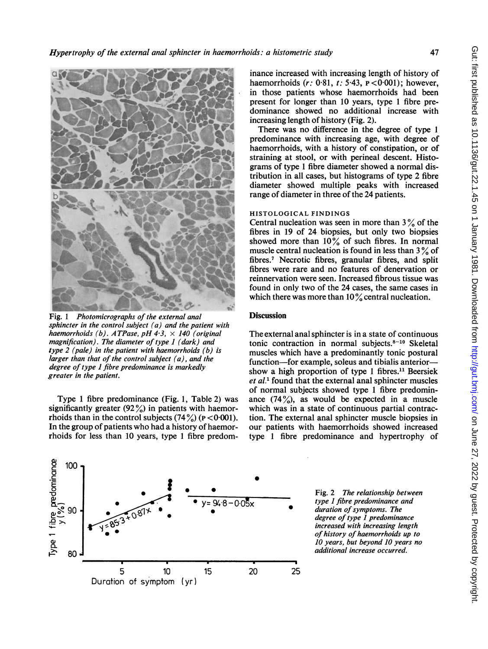

Fig. <sup>1</sup> Photomicrographs of the external anal sphincter in the control subject (a) and the patient with haemorrhoids (b). ATPase, pH 4.3,  $\times$  140 (original magnification). The diameter of type 1 (dark) and type  $2$  (pale) in the patient with haemorrhoids (b) is larger than that of the control subject (a), and the degree of type 1 fibre predominance is markedly greater in the patient.

Type <sup>1</sup> fibre predominance (Fig. 1, Table 2) was significantly greater  $(92\%)$  in patients with haemorrhoids than in the control subjects  $(74\%)$  ( $p < 0.001$ ). In the group of patients who had a history of haemorrhoids for less than 10 years, type <sup>1</sup> fibre predom-

inance increased with increasing length of history of haemorrhoids  $(r: 0.81, t: 5.43, p < 0.001)$ ; however, in those patients whose haemorrhoids had been present for longer than 10 years, type <sup>1</sup> fibre predominance showed no additional increase with increasing length of history (Fig. 2).

There was no difference in the degree of type <sup>1</sup> predominance with increasing age, with degree of haemorrhoids, with a history of constipation, or of straining at stool, or with perineal descent. Histograms of type <sup>1</sup> fibre diameter showed a normal distribution in all cases, but histograms of type 2 fibre diameter showed multiple peaks with increased range of diameter in three of the 24 patients.

### HISTOLOGICAL FINDINGS

Central nucleation was seen in more than  $3\%$  of the fibres in 19 of 24 biopsies, but only two biopsies showed more than  $10\%$  of such fibres. In normal muscle central nucleation is found in less than  $3\%$  of fibres.7 Necrotic fibres, granular fibres, and split fibres were rare and no features of denervation or reinnervation were seen. Increased fibrous tissue was found in only two of the 24 cases, the same cases in which there was more than  $10\%$  central nucleation.

# **Discussion**

The external anal sphincter is in a state of continuous tonic contraction in normal subjects. $8-10$  Skeletal muscles which have a predominantly tonic postural function-for example, soleus and tibialis anteriorshow a high proportion of type 1 fibres.<sup>11</sup> Beersiek et al.<sup>1</sup> found that the external anal sphincter muscles of normal subjects showed type <sup>1</sup> fibre predominance  $(74\%)$ , as would be expected in a muscle which was in a state of continuous partial contraction. The external anal sphincter muscle biopsies in our patients with haemorrhoids showed increased type <sup>1</sup> fibre predominance and hypertrophy of



Fig. 2 The relationship between type <sup>1</sup> fibre predominance and duration of symptoms. The degree of type 1 predominance increased with increasing length of history of haemorrhoids up to 10 years, but beyond 10 years no additional increase occurred.